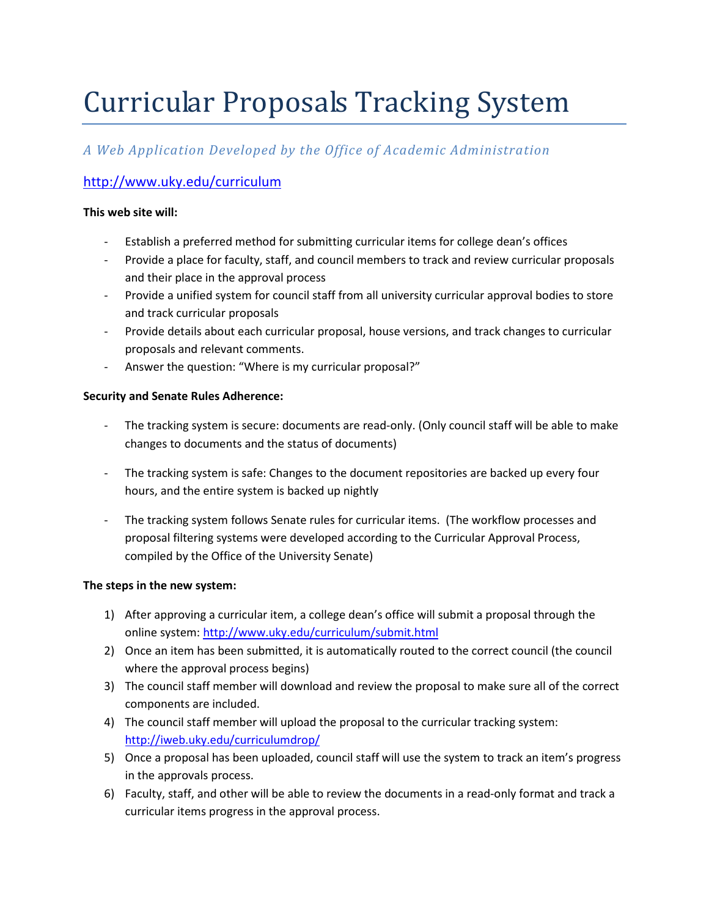# Curricular Proposals Tracking System

## *A Web Application Developed by the Office of Academic Administration*

### <http://www.uky.edu/curriculum>

#### **This web site will:**

- Establish a preferred method for submitting curricular items for college dean's offices
- Provide a place for faculty, staff, and council members to track and review curricular proposals and their place in the approval process
- Provide a unified system for council staff from all university curricular approval bodies to store and track curricular proposals
- Provide details about each curricular proposal, house versions, and track changes to curricular proposals and relevant comments.
- Answer the question: "Where is my curricular proposal?"

#### **Security and Senate Rules Adherence:**

- The tracking system is secure: documents are read-only. (Only council staff will be able to make changes to documents and the status of documents)
- The tracking system is safe: Changes to the document repositories are backed up every four hours, and the entire system is backed up nightly
- The tracking system follows Senate rules for curricular items. (The workflow processes and proposal filtering systems were developed according to the Curricular Approval Process, compiled by the Office of the University Senate)

#### **The steps in the new system:**

- 1) After approving a curricular item, a college dean's office will submit a proposal through the online system:<http://www.uky.edu/curriculum/submit.html>
- 2) Once an item has been submitted, it is automatically routed to the correct council (the council where the approval process begins)
- 3) The council staff member will download and review the proposal to make sure all of the correct components are included.
- 4) The council staff member will upload the proposal to the curricular tracking system: <http://iweb.uky.edu/curriculumdrop/>
- 5) Once a proposal has been uploaded, council staff will use the system to track an item's progress in the approvals process.
- 6) Faculty, staff, and other will be able to review the documents in a read-only format and track a curricular items progress in the approval process.